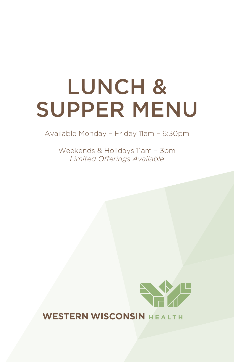# Lunch & Supper Menu

Available Monday – Friday 11am – 6:30pm

Weekends & Holidays 11am – 3pm *Limited Offerings Available*



## WESTERN WISCONSIN HEALTH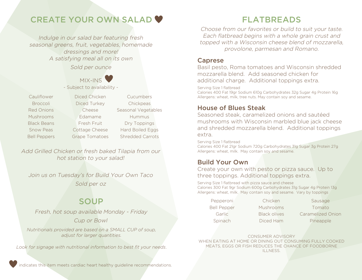# create your own SaLaD

Indulge in our salad bar featuring fresh seasonal greens, fruit, vegetables, homemade dressings and more! A satisfying meal all on its own Sold per ounce



- Subject to availability -

Broccoli Diced Turkey Chickpeas Mushrooms **Edamame** Hummus Black Beans **Fresh Fruit** Dry Toppings

Cauliflower Diced Chicken Cucumbers Red Onions **Cheese** Seasonal Vegetables Snow Peas Cottage Cheese Hard Boiled Eggs Bell Peppers Grape Tomatoes Shredded Carrots

Add Grilled Chicken or fresh baked Tilapia from our hot station to your salad!

Join us on Tuesday's for Build Your Own Taco Sold per oz

## **SOUP**

Fresh, hot soup available *Monday - Friday* Cup or Bowl

*Nutritionals provided are based on a SMALL CUP of soup, adjust for larger quantities.*

*Look for signage with nutritional information to best fit your needs*.

indicates this item meets cardiac heart healthy guideline recommendations.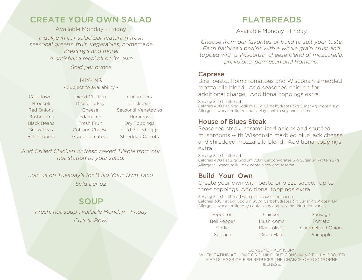# **FLATBREADS**

Available Monday - Friday

Choose from our favorites or build to suit your taste. Each flatbread begins with a whole grain crust and topped with a Wisconsin cheese blend of mozzarella, provolone, parmesan and Romano.

## caprese

Basil pesto, Roma tomatoes and Wisconsin shredded mozzarella blend. Add seasoned chicken for additional charge. Additional toppings extra.

Serving Size 1 flatbread

Calories 400 Fat 19gr Sodium 610g Carbohydrates 32g Sugar 4g Protein 16g Allergens: wheat, milk, tree nuts. May contain soy and sesame.

## house of blues Steak

Seasoned steak, caramelized onions and sautéed mushrooms with Wisconsin marbled blue jack cheese and shredded mozzarella blend. Additional toppings extra.

Serving Size 1 flatbread Calories 400 Fat 21gr Sodium 720g Carbohydrates 31g Sugar 3g Protein 27g Allergens: wheat, milk. May contain soy and sesame.

## **Build Your Own**

Create your own with pesto or pizza sauce. Up to three toppings. Additional toppings extra.

Serving Size 1 flatbread with pizza sauce and cheese Calories 300 Fat 9gr Sodium 600g Carbohydrates 31g Sugar 4g Protein 13g Allergens: wheat, milk. May contain soy and sesame. Nutrition varies.

Pepperoni Chicken Sausage Bell Pepper Mushrooms Tomato Garlic Black olives Caramelized Onion Spinach Diced Ham Pineapple

CONSUMER ADVISORY When eating at home or dining out consuming fully cooked meats, eggs or fish reduces the chance of foodborne illness.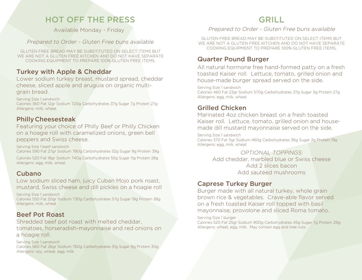# hot oFF the preSS

Available Monday - Friday

#### Prepared to Order - Gluten Free buns available

GlUTEn FREE BREAD MAY BE SUBSTITUTED On SElECT ITEMS BUT WE ARE nOT A GlUTEn FREE kITCHEn AnD DO nOT HAVE SEPARATE COOkInG EqUIPMEnT TO PREPARE 100% GlUTEn FREE ITEMS.

#### **Turkey with Apple & Cheddar**

Lower sodium turkey breast, mustard spread, cheddar cheese, sliced apple and arugula on organic multigrain bread.

Serving Size 1 sandwich Calories 360 Fat 12gr Sodium 720g Carbohydrates 37g Sugar 7g Protein 27g Allergens: milk, wheat

## philly cheesesteak

Featuring your choice of Philly Beef or Philly Chicken on a hoagie roll with caramelized onions, green bell peppers and Swiss cheese.

Serving Size 1 beef sandwich Calories 590 Fat 27gr Sodium 780g Carbohydrates 52g Sugar 9g Protein 39g

Calories 520 Fat 18gr Sodium 740g Carbohydrates 55g Sugar 11g Protein 28g Allergens: egg, milk, wheat

### **Cubano**

Low sodium sliced ham, juicy Cuban Mojo pork roast, mustard, Swiss cheese and dill pickles on a hoagie roll

Serving Size 1 sandwich Calories 550 Fat 20gr Sodium 730g Carbohydrates 57g Sugar 19g Protein 38g Allergens: milk, wheat

## **Beef Pot Roast**

Shredded beef pot roast with melted cheddar, tomatoes, horseradish-mayonnaise and red onions on a hoagie roll.

Serving Size 1 sandwich Calories 560 Fat 26gr Sodium 760g Carbohydrates 51g Sugar 8g Protein 30g Allergens: soy, wheat, egg, milk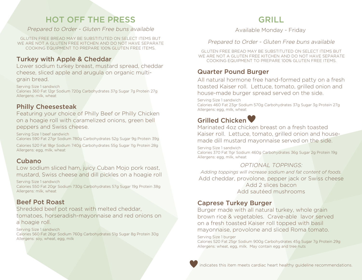# **GRILL**

#### Available Monday - Friday

#### Prepared to Order - Gluten Free buns available

GlUTEn FREE BREAD MAY BE SUBSTITUTED On SElECT ITEMS BUT WE ARE nOT A GlUTEn FREE kITCHEn AnD DO nOT HAVE SEPARATE COOkInG EqUIPMEnT TO PREPARE 100% GlUTEn FREE ITEMS.

### **Quarter Pound Burger**

All natural hormone free hand-formed patty on a fresh toasted kaiser roll. lettuce, tomato, grilled onion and house-made burger spread served on the side.

Serving Size 1 sandwich Calories 460 Fat 23gr Sodium 570g Carbohydrates 37g Sugar 3g Protein 27g Allergens: egg, milk, wheat

## Grilled Chicken

Marinated 4oz chicken breast on a fresh toasted kaiser roll. lettuce, tomato, grilled onion and housemade dill mustard mayonnaise served on the side.

Serving Size 1 sandwich Calories 370 Fat 11gr Sodium 460g Carbohydrates 36g Sugar 2g Protein 19g Allergens: egg, milk, wheat

#### OPTIOnAl TOPPInGS:

*Adding toppings will increase sodium and fat content of foods.* Add cheddar, provolone, pepper jack or Swiss cheese Add 2 slices bacon Add sautéed mushrooms

#### **Caprese Turkey Burger**

Burger made with all natural turkey, whole grain brown rice & vegetables. Crave-able lavor served on a fresh toasted kaiser roll topped with basil mayonnaise, provolone and sliced Roma tomato.

Serving Size 1 burger

Calories 520 Fat 25gr Sodium 900g Carbohydrates 45g Sugar 7g Protein 29g Allergens: wheat, egg, milk. May contain egg and tree nuts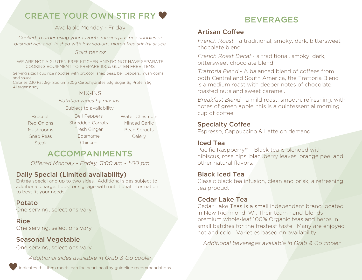# create your OWN STIR FRY

#### Available Monday - Friday

Cooked to order using your favorite mix-ins plus rice noodles or basmati rice and inished with low sodium, gluten free stir fry sauce.

#### Sold per oz

WE ARE nOT A GlUTEn FREE kITCHEn AnD DO nOT HAVE SEPARATE COOkInG EqUIPMEnT TO PREPARE 100% GlUTEn FREE ITEMS

Serving size: 1 cup rice noodles with broccoli, snap peas, bell peppers, mushrooms and sauce

Calories 230 Fat .5gr Sodium 320g Carbohydrates 53g Sugar 6g Protein 5g Allergens: soy

#### MIx-InS

*Nutrition varies by mix-ins.*

- Subject to availability -

**Steak** 

Broccoli Bell Peppers Water Chestnuts Red Onions Shredded Carrots Minced Garlic Mushrooms Fresh Ginger Bean Sprouts Snap Peas **Edamame** Celery Bell Peppers Fresh Ginger Edamame Chicken

# accoMpaniMentS

Offered *Monday - Friday, 11:00 am - 1:00 pm*

### Daily Special (Limited availability)

Entrée special and up to two sides. Additional sides subject to additional charge. Look for signage with nutritional information to best fit your needs.

### potato

One serving, selections vary

#### Rice

One serving, selections vary

#### Seasonal Vegetable

One serving, selections vary

*Additional sides availabl*e in Grab & Go cooler

indicates this item meets cardiac heart healthy guideline recommendations.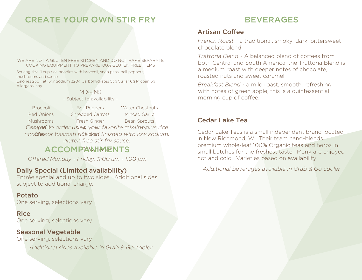# **BEVERAGES**

## artisan coffee

French Roast - a traditional, smoky, dark, bittersweet chocolate blend.

Trattoria Blend - A balanced blend of coffees from both Central and South America, the Trattoria Blend is a medium roast with deeper notes of chocolate, roasted nuts and sweet caramel.

Breakfast Blend - a mild roast, smooth, refreshing, with notes of green apple, this is a quintessential morning cup of coffee.

## **Cedar Lake Tea**

Cedar lake Teas is a small independent brand located in New Richmond, WI. Their team hand-blends premium whole-leaf 100% Organic teas and herbs in small batches for the freshest taste. Many are enjoyed hot and cold. Varieties based on availability.

Additional beverages available in Grab & Go cooler